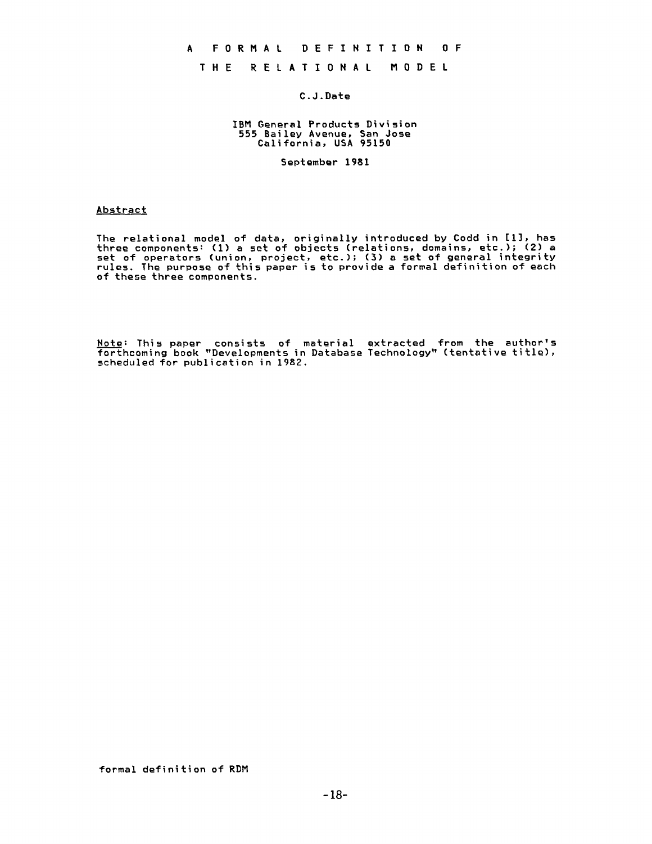### **A FORMAL DEFINITION OF**

# THE RELATIONAL MODEL

## C.J.Date

#### IBM General Products Division 555 Bailey Avenue, San Jose California, USA 95150

September 1981

#### Abstract

The relational model of data, originally introduced by Codd in [I], has three components: (I) a set of objects (relations, domains, etc.); (2) a set of operators (union, project, etc.); (3) a set of general integrity rules. The purpose of this paper is to provide a formal definition of each of these three components.

Note: This paper consists of material extracted from the author's forthcoming book "Developments in Database Technology" (tentative title), scheduled for publication in 1982.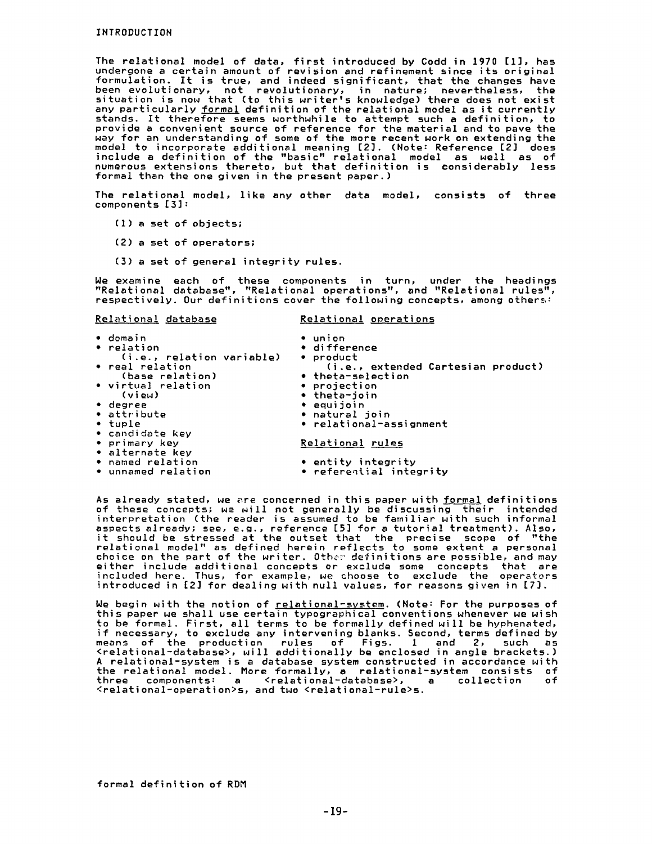The relational model of data, first introduced by Codd in 1970 [I], has undergone a certain amount of revision and refinement since its original formulation. It is true, and indeed significant, that the changes have been evolutionary, not revolutionary, in nature; nevertheless, the situation is now that (to this writer's knowledge) there does not exis any particularly formal definition of the relational model as it currently stands. It therefore seems worthwhile to attempt such a definition, to provide a convenient source of reference for the material and to pave the Nay for an understanding of some of the more recent work on extending the model to incorporate additional meaning [23. (Note: Reference [2] does include a definition of the "basic" relational model as well as of numerous extensions thereto, but that definition is considerably less formal than the one given in the present paper.)

The relational model, like any other data model, consists of three components [33:

- (1) a set of objects;
- (2) a set of operators;
- (3) a set of general integrity rules.

Ne examine each of these components in turn, under the headings "Relational database", "Relational operations", and "Relational rules", respectively. Our definitions cover the following concepts, among others:

| Relational database            | Relational operations              |
|--------------------------------|------------------------------------|
| $\bullet$ domain<br>• relation | $\bullet$ union<br>• difference    |
| (i.e., relation variable)      | • product                          |
| • real relation                | (i.e., extended Cartesian product) |
| (base relation)                | $\bullet$ theta-selection          |
| • virtual relation             | • projection                       |
| (view)                         | $\bullet$ theta-join               |
| • degree                       | $\bullet$ equijoin                 |
| • attribute                    | • natural join                     |
| • tuple                        | • relational-assignment            |
| • candidate key                |                                    |
| • primary key                  | Relational rules                   |
| • alternate kev                |                                    |
| • named relation               | • entity integrity                 |
| • unnamed relation             | • referential integrity            |

As already stated, we are concerned in this paper with formal definitions of these concepts; we will not generally be discussing their intended interpretation (the reader is assumed to be familiar with such informal aspects already; see, e.g., reference ES] for a tutorial treatment). Also, it should be stressed at the outset that the precise scope of "the relational model" as defined herein reflects to some extent a personal choice on the part of the writer. Other definitions are possible, and may  $\,$ either include additional concepts or exclude some concepts that are included here. Thus, for example, we choose to exclude the operators  $\,$ introduced in L2J for dealing with null values, for reasons given in L7J.  $\,$ 

We begin with the notion of relational-system. (Note: For the purposes of this paper we shall use certain typographical conventions whenever we wish to be formal. First, all terms to be formally defined will be hyphenated, if necessary, to exclude any intervening blanks. Second, terms defined by means of the production rules of Figs. 1 and 2, such as <relational-database>, will additionally be enclosed in angle brackets.) A relational-system is a database system constructed in accordance with the relational model. More formally, a relational-system consists of three components: a <relational-database>, a collection of <relational-operation>s, and two <relational-rule>s.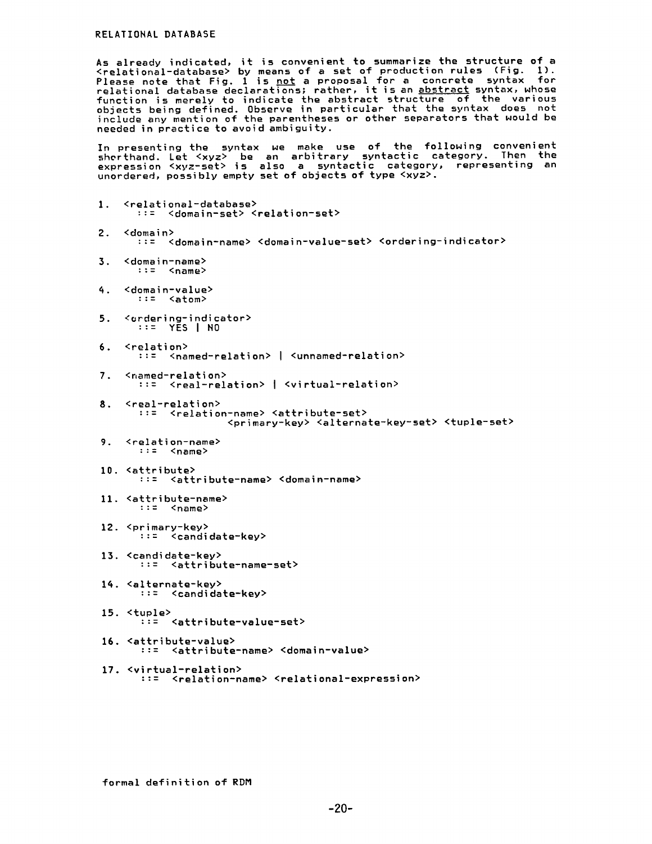As already indicated, it is convenient to summarize the structure of a <relational-database> by means of a set of production rules (Fig. i). Please note that Fig. 1 is not a proposal for a concrete syntax for relational database declarations; rather, it is an abstract syntax, whose function is merely to indicate the abstract structure of the various objects being defined. Observe in particular that the syntax does not include any mention of the parentheses or other separators that would be needed in practice to avoid ambiguity.

In presenting the syntax we make use of the following convenient shorthand. Let <xyz> be an arbitrary syntactic category. Then the expression <xyz-set> is also a syntactic category, representing an unordered, possibly empty set of objects of type <xyz>.

- 1. <relational-database> ::= <domain-set> <relation-set> 2. <domain> ::= <domain-name> <domain-value-set> <ordering-indicator>
- 3. <domain-name> ::= <name>
- q. <domain-value> ::= <atom>
- **5.** <ordering-indicator> ::= YES I No
- 6. <relation> ::= <named-relation> I <unnamed-relation>
- 7. <named-relation> ::= <real-relation> I <virtual-relation>
- **8.** <real-relation> ::= <relation-name> <attribute-set> <primary-key> <alternate-key-set> <tuple-set>
- 9. <relation-name> ::= <name>
- 10. <attribute> ::= <attribute-name> <domain-name>
- 11.  $\left\{\text{attribute-name}\right\}$ <br>::=  $\left\{\text{name}\right\}$ ::= <name>
- 12. <primary-key> ::= <candidate-key>
- 13. <candidate-key> ::= <attribute-name-set>
- lq. <alternate-key> ::= <candidate-key>
- 15. <tuple> ::= <attribute-value-set>
- 16. <attribute-value> ::= <attribute-name> <domain-value>
- 17. <virtual-relation> ::= <relation-name> <relational-expression>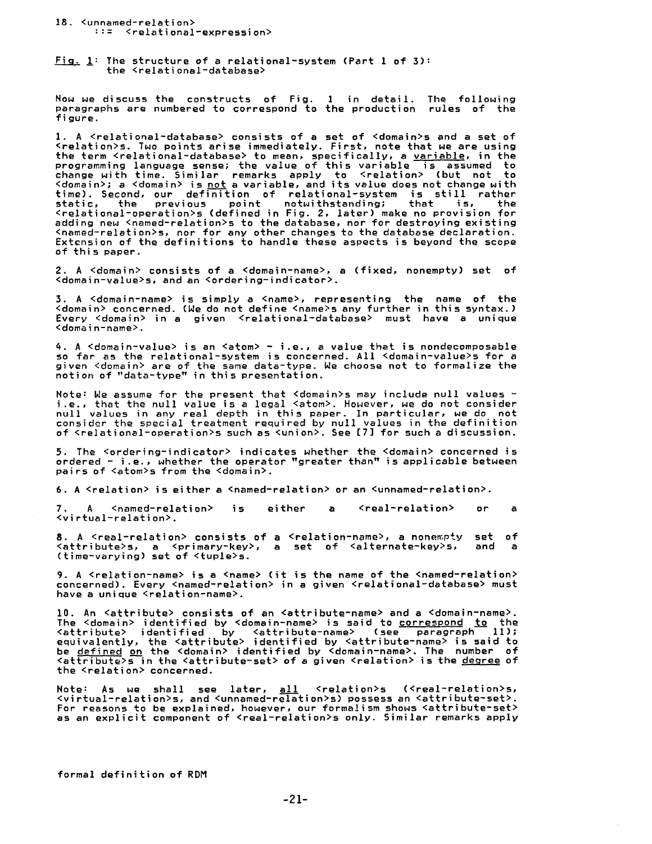#### 18. <unnamed-relation> ::: <relational-expression>

Fiq. l: The structure of a relational-system (Part 1 of 3): the <relational-database>

Now we discuss the constructs of Fig. I in detail. The following paragraphs are numbered to correspond to the production rules of the figure.

I. A <relational-database> consists of a set of <domain>s and a set of <relation>s. Two point5 arise immediately. First, note that we are using the term <relational-database> to mean, specifically, a <u>variable</u>, in the programming language sense; the value of this variable is assumed to change with time. Similar remarks apply to <relation> (but not to <domain>; a <domain> is <u>not</u> a variable, and its value does not change with time). Second, our definition of relational-system is still rather static, the previous point notwithstanding; that is, the<br><relational-operation>s(defined in Fig. 2,later)make no provision for adding new <named-relation>s to the database, nor for destroying existir <named-relation>s, nor for any other changes to the database declaration. Extension of the definitions to handle these aspects is beyond the scope of this paper.

2. A <domain> consists of a <domain-name>, a (fixed, nonempty) set of <domain-value>s, and an <ordering-indicator>.

3. A <domain-name> is simply a <name>, representing the name of the <domain> concerned. (We do not define <name>s any further in this syntax.) Every <domain> in a given <relational-database> must have a unique <domain-name>.

4. A <domain-value> is an <atom> - i.e., a value that is nondecomposable so far as the relational-system is concerned. All <domain-value>s for a given <domain> are of the same data-type. We choose not to formalize the notion of "data-type" in this presentation.

Note: We assume for the present that <domain>s may include null values - i.e., that the null value is a legal <atom>. However, we do not consider null values in any real depth in this paper. In particular, we do not consider the special treatment required by null values in the definition of <relational-operation>s such as <union>. See [7] for such a discussion.

5. The <ordering-indicator> indicates whether the <domain> concerned is ordered - i.e., whether the operator "greater than" is applicable between pairs of <atom>s from the <domain>.

6. A  $\leq$  relation> is either a  $\leq$   $\leq$   $\leq$   $\leq$   $\leq$   $\leq$   $\leq$   $\leq$   $\leq$   $\leq$   $\leq$   $\leq$   $\leq$   $\leq$   $\leq$   $\leq$   $\leq$   $\leq$   $\leq$   $\leq$   $\leq$   $\leq$   $\leq$   $\leq$   $\leq$   $\leq$   $\leq$   $\leq$   $\leq$   $\leq$   $\leq$   $\$ 

7. A <named-relation> is either a <real-relation> or a <virtual-relation>.

**8. A <real-relation> consists of a <relation-name>, a nonempty set of a setral pointing of set of setral and a** <attribute>s, a <primary-key>, a set of <alternate-key>s, and a (time-varying) set of <tuple>s.

9. A <relation-name> is a <name> (it is the name of the <named-relation> concerned). Every <named-relation> in a given <relational-database> must have a unique <relation-name>.

I0. An <attribute> consists of an <attribute-name> and a <domain-name>. The <domain> identified by <domain-name> is said to correspond to the <attribute> identified by <attribute-name> (see paragraph 11); equivalently, the <attribute> identified by <attribute-name> is said to be <u>defined on</u> the <domain> identified by <domain-name>. The number of <attribute>s in the <attribute-set> of a given <relation> is the <u>degree</u> of the <relation> concerned.

Note: As we shall see later, al\_\_\_ll <relation>s (<real-relation>s, <virtual-relation>s, and <unnamed-relation>s) possess an <attribute-set>. For reasons to be explained, however, our formalism shows <attribute-set> as an explicit component of <real-relation>s only. Similar remarks apply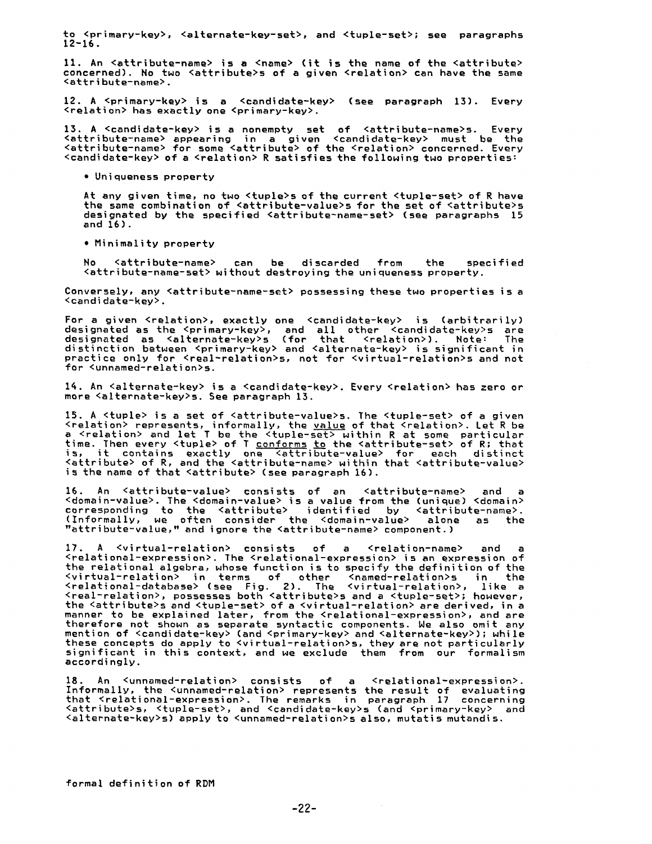to <primary-key>, <alternate-key-set>, and <tuple-set>; see paragraphs  $12 - 16$ .

11. An <attribute-name> is a <name> (it is the name of the <attribute> concerned). No two <attribute>s of a given <relation> can have the same <attribute-name>.

12. A <primary-key> is a <candidate-key> (see paragraph 13). Every <relation> has exactly one <primary-key>.

13. A <candidate-key> is a nonempty set of <attribute-name>s. Every <attribute-name> appearing in a given <candidate-key> must be the <attribute-name> for some <attribute> of the <relation> concerned. Every <candidate-key> of a <relation> R satisfies the following two properties:

• Uniqueness property

At any given time, no two <tuple>s of the current <tuple-set> of R have the same combination of <attribute-value>s for the set of <attribute>s designated by the specified <attribute-name-set> (see paragraphs 15 and 16).

• Minimality property

No <attribute-name> can be discarded from the specified <attribute-name-set> without destroying the uniqueness property.

Conversely, any <attribute-name-set> possessing these two properties is a <candidate-key>.

For a given <relation>, exactly one <candidate-key> is (arbitrarily) designated as the <primary-key>, and all other <candidate-kev>s are designated as <alternate-key>s (for that <relation>). Note: The distinction between <primary-key> and <alternate-key> is significant in practice only for <real-relation>s, not for <virtual-relation>s and not for <unnamed-relation>s.

lq. An <alternate-key> is a <candidate-key>. Every <relation> has zero or more <alternate-key>s. See paragraph 13.

15. A <tuple> is a set of <attribute-value>s. The <tuple-set> of a given <relation> represents, informally, the value of that <relation>. Let R be a <relation> and let T be the <tuple-set> within R at some particular time. Then every <tuple> of T <u>conforms to</u> the <attribute-set> of R; that is, it contains exactly one <attribute-value> for each distinc <code><attribute></code> of R, and the <code><attribute-name></code> within that <code><attribute-valu</code> is the name of that <attribute> (see paragraph 16).

16. An <attribute-value> consists of an <attribute-name> and a <domain-value>. The <domain-value> is a value from the (unique) <domain> corresponding to the <attribute> identified by <attribute-name>. (Informally, we often consider the <domain-value> alone as the "attribute-value," and ignore the <attribute-name> component.)

17. A <virtual-relation> consists of a <relation-name> and a <relational-expression>. The <relational-expression> is an expression of the relational algebra, whose function is to specify the definition of the <virtual-relation> in terms of other <named-relation>s in the <relational-database> (see Fig. 2). The <virtual-relation>, like a <real-relation>, possesses both <attribute>s and a <tuple-set>; however, the <attribute>s and <tuple-set> of a <virtual-relation> are derived, in a manner to be explained later, from the <relational-expression>, and are therefore not shown as separate syntactic components. We also omit any mention of <candidate-key> (and <primary-key> and <alternate-key>); while these concepts do apply to <virtual-relation>s, they are not particularly significant in this context, and we exclude them from our formalism accordingly.

18. An <unnamed-relation> consists of a <relational-expression>. Informally, the <unnamed-relation> represents the result of evaluating that <relational-expression>. The remarks in paragraph 17 concerning <attribute>s, <tuple-set>, and <candidate-key>s (and <primary-key> and <alternate-key>s) apply to <unnamed-relation>s also, mutatis mutandis.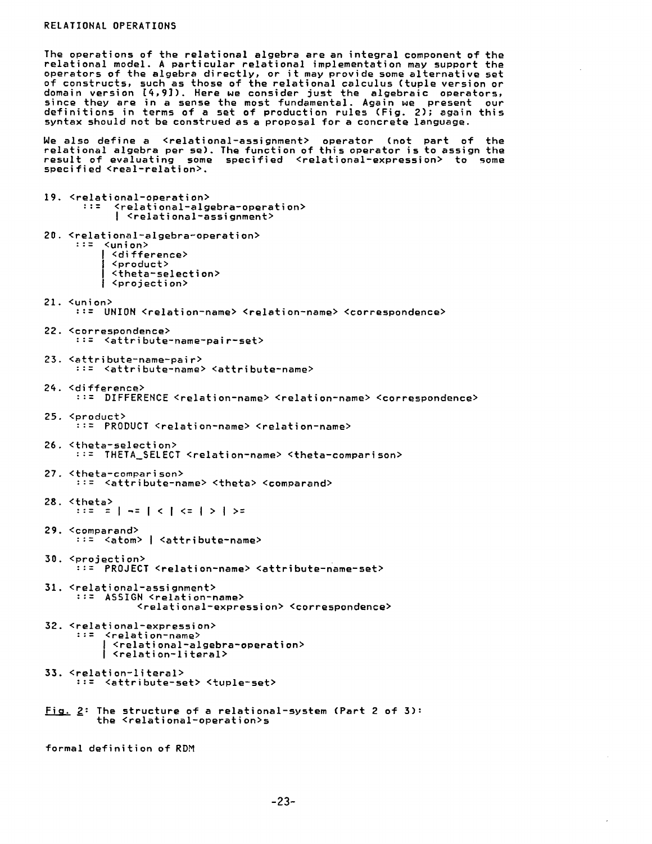The operations of the relational algebra are an integral component of the relational model. A particular relational implementation may support the operators of the algebra directly, or it may provide some alternative set of constructs, such as those of the relational calculus (tuple version or domain version  $[4,9]$ ). Here we consider just the algebraic operators, since they are in a sense the most fundamental. Again we present our definitions in terms of a set of production rules (Fig. 2); again this syntax should not be construed as a proposal for a concrete language.

We also define a <relational-assignment> operator (not part of the relational algebra per se). The function of this operator is to assign the result of evaluating some specified <relational-expression> to some specified <real-relation>.

19. <relational-operation> ::= <relational-algebra-operation> I <relational-assignment> 20. <relational-aIgebra-operation> ::= <union> I <difference> I <product> I <theta-selection> I <projection> 21. <union> ::= UNION <relation-name> <relation-name> <correspondence> 22. <correspondence> ::= <attribute-name-pair-set> 23. <attribute-name-pair> ::= <attribute-name> <attribute-name> 2q. <difference> ::= DIFFERENCE <relation-name> <relation-name> <correspondence> 25. <product> ::= PRODUCT <relation-name> <relation-name> 26. <theta-selection> ::= THETA\_SELECT <relation-name> <theta-comparison> 27. <theta-comparison> ::= <attribute-name> <theta> <comparand> 28. <theta> ::= = | -= | < | <= | > | >= 29. <comparand> ::= <atom> I <attribute-name> 30. <projection> ::= PROJECT <relation-name> <attribute-name-set> 31. <relational-assignment> ::= ASSIGN *<relation-name>*  <relational-expression> <correspondence> 32. <relational-expression> ::= <relation-name> **<sup>I</sup>**<relational-algebra-operation> I <relation-literal> 33. <relation-literal> ::= <attribute-set> <tuple-set> Fig. 2: The structure of a relational-system (Part 2 of 5): the <relational-operation>s formal definition of RDM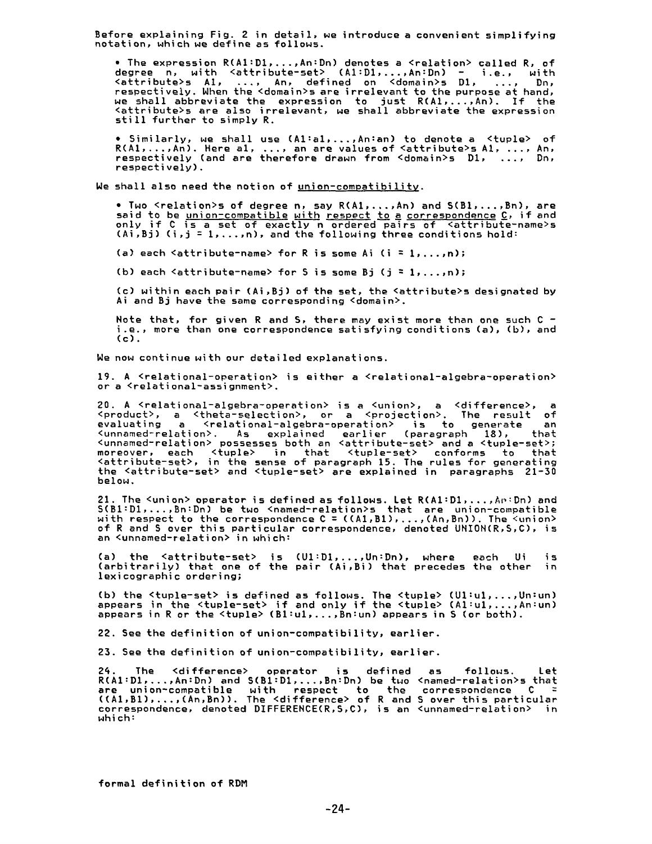Before explaining Fig. 2 in detail, we introduce a convenient simplifyi:<br>notation, which we define as follows.

• The expression  $R(A1:D1,\ldots,An:Dn)$  denotes a <relation> called  $R$ , of degree n, with <attribute-set> (AI:DI,...,An:Dn) - i.e., with <attribute>s AI, .... An, defined on <domain>s D1, .... Dn, respectively. When the <domain>s are irrelevant to the purpose at hand, we shall abbreviate the expression to just R(AI,...,An). If the <attribute>s are also irrelevant, we shall abbreviate the expression still further to simply R.

• Similarly, We shall use (Al:al,...,An:an) to denote a <tuple> of R(A1,...,An). Here al, ..., an are values of <attribute>s A1, ..., An, respectively (and are therefore drawn from <domain>s DI, .... Dn, respectively).

We shall also need the notion of union-compatibility.

 $\bullet$  Two  $\le$ relation>s of degree n, say  $R(A1, \ldots, An)$  and  $S(B1, \ldots, Bn)$ , are said to be union-compatible with respect to a correspondence C, if and only if C is a set of exactly n ordered pairs of <attribute-name>s (Ai,Bj) (i,j = 1,...,n), and the following three conditions hold:

(a) each  $\leq$  attribute-name> for R is some Ai (i = 1,...,n);

(b) each  $\leq$  attribute-name> for S is some Bj (j = 1,...,n);

(c) within each pair (Ai,Bj) of the set, the <attribute>s designated by Ai and Bj have the same corresponding <domain>.

Note that, for given R and S, there may exist more than one such C i.e., more than one correspondence satisfying conditions (a), (b), and  $(c)$ .

We now continue with our detailed explanations.

19. A <relational-operation> is either a <relational-algebra-operation> or a <relational-assignment>.

**20. A** <relational-algebra-operation> is a <union>, a <difference>, a <product>, a <theta-selection>, or a <projection>. The result of evaluating a <relational-algebra-operation> is to generate an <unnamed-relation>. As explained earlier (paragraph 18), that <unnamed-relation> possesses both an <attribute-set> and a <tuple-set>; moreover, each <tuple> in that <tuple-set> conforms to that <attribute-set>, in the sense of paragraph 15. The rules for generating the <attribute-set> and <tuple-set> are explained in paragraphs 21-50 below.

21. The <union> operator is defined as follows. Let R(AI:DI,...,A~:Dn) and 5(BI:DI,...,Bn:Dn) be two <named-relation>s that are union-compatible with respect to the correspondence C = ((A1,BI) .... ,(An,Bn)). The <union> of R and S over this particular correspondence, denoted UHION(R,S,C), is an <unnamed-relation> in which:

(a) the <attribute-set> is (UI:D1,...,Un:Dn), where each Ui is (arbitrarily) that one of the pair (Ai,Bi) that precedes the other in lexicographic ordering;

(b) the <tuple-set> is defined as follows. The <tuple> (Ul:u1,...,Un<sup>;</sup> appears in the *<tuple-set>* if and only if the <tuple> *(Al:ul,...,An:un)*  appears in R or the <tuple> (Bl:ul, .... Bn:un) appears in \$ (or both).

22. See the definition of union-compatibility, earlier.

23. See the definition of union-compatibility, earlier.

2q. The <difference> operator is defined as follows. Let R(AI:D1 .... ,An:Dn) and S(BI:D1 .... ,Bn:Dn) be two <named-relation>s that are union-compatible with respect to the correspondence C = ((AI,BI) .... ,(An,Bn)). The <difference> of R and 5 over this particular correspondence, denoted DIFFERENCE(R,5,C), is an <unnamed-relation> in which: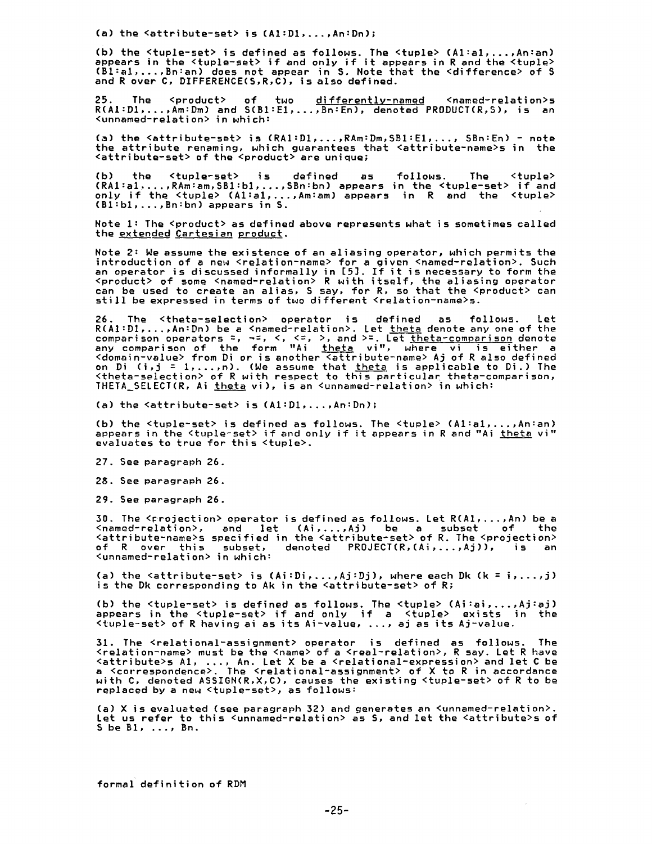**(a)** the <attribute-set> is (AI:DI,...,An:Dn);

**(b)** the <tuple-set> is defined as follows. The <tuple> (Al:al .... ,An:an) appears in the <tuple-set> if and only if it appears in R and the <tuple> (Bl:al .... ,an:an) does not appear in 5. Note that the <difference> of S and R over C, DIFFERENCE(S,R,C), is also defined.

25. The <product> of two <u>differently-named</u> <named-relation> R(AI:DI,...,Am:Dm) and S(BI:EI,...,Bn:En), denoted PRODUCT(R,S), is an <unnamed-relation> in which:

(a) the <attribute-set> is (RA1:D1,...,RAm:Dm,SB1:E1,..., SBn:En) - note the attribute renaming, which guarantees that <attribute-name>s in the <attribute-set> of the <product> are unique;

(b) the <tuple-set> is defined as (RAI:al .... ,RAm:am,SBl:bl, .... SBn:bn) appears only if the <tuple> (Al:al,...,Am:am) appears (Bl:bl,...,Bn:bn) appears in S. follows. The <tuple> in the <tuple-set> if and in R and the <tuple>

Note 1: The <product> as defined above represents what is sometimes called the extended Cartesian product.

Note 2: We assume the existence of an aliasing operator, which permits the introduction of a new <relation-name> for a given <named-relation>. Such an operator is discussed informally in [5]. If it is necessary to form the <product> of some <named-relation> R with itself, the aliasing operator can be used to create an alias, S say, for R, so that the <product> can still be expressed in terms of two different <relation-name>s.

26. The <theta-selection> operator is defined as follows. Let R(A1:D1,...,An:Dn) be a <named-relation>. Let <u>theta</u> denote any one of the<br>comparison operators =, ¬=, <, <=, >, and >=. Let <u>theta-comparison</u> denote any comparison of the form "Ai <u>theta</u> vi", where vi is either a <domain-value> from Di or is another <attribute-name> Aj of R also defined on Di (i,j = 1,...,n). (We assume that <u>theta</u> is applicable to Di.) The<br><theta-selection> of R with respect to this particular theta-comparison, THETA SELECT(R, Ai theta vi), is an <unnamed-relation> in which:

(a) the  $\langle$ attribute-set> is  $(A1:D1, \ldots, An:Dn)$ ;

(b) the <tuple-set> is defined as follows. The <tuple> (Al:al,...,An:an) appears in the <tuple-set> if and only if it appears in R and "Ai theta vi" evaluates to true for this <tuple>.

27. See paragraph 26.

28. See paragraph 26.

29. See paragraph 26.

30. The  $\leq$  rojection> operator is defined as follows. Let  $R(A1, \ldots, An)$  be a <named-relation>, and let (Ai,...,Aj) be a subset of the <attribute-name>s specified in the <attribute-set> of R. The <projection> of R over this subset, denoted PROJECT(R,(Ai,...,Aj)), is an <unnamed-relation> in which:

(a) the  $\texttt{~cattribute-set>}$  is  $(Ai:Di, \ldots, Aj:Dj)$ , where each Dk  $(k = i, \ldots, j)$ is the Dk corresponding to Ak in the  $\leq$  attribute-set> of R;

(b) the <tuple-set> is defined as follows. The <tuple> (Ai:ai .... ,Aj:aj) appears in the <tuple-set> if and only if a <tuple> exists in the <tuple-set> of R having ai as its Ai-value, ..., aj as its Aj-value.

31. The <relational-assignment> operator is defined as follows. The <relationmname> must be the <name> of a <real-relation>, R say. Let R have <attribute>s A1, ..., An. Let X be a <relational-expression> and let C be a <correspondence>. The <relational-assignment> of X to R in accordance with C, denoted ASSIGN(R,X,C), causes the existing <tuple-set> of R to be replaced by a new <tuple-set>, as follows:

Ca) X is evaluated (see paragraph 32) and generates an <unnamed-relation>. Let us refer to this <unnamed-relation> as S, and let the <attribute>s of S be  $B1$ ,  $\dots$ ,  $Bn$ .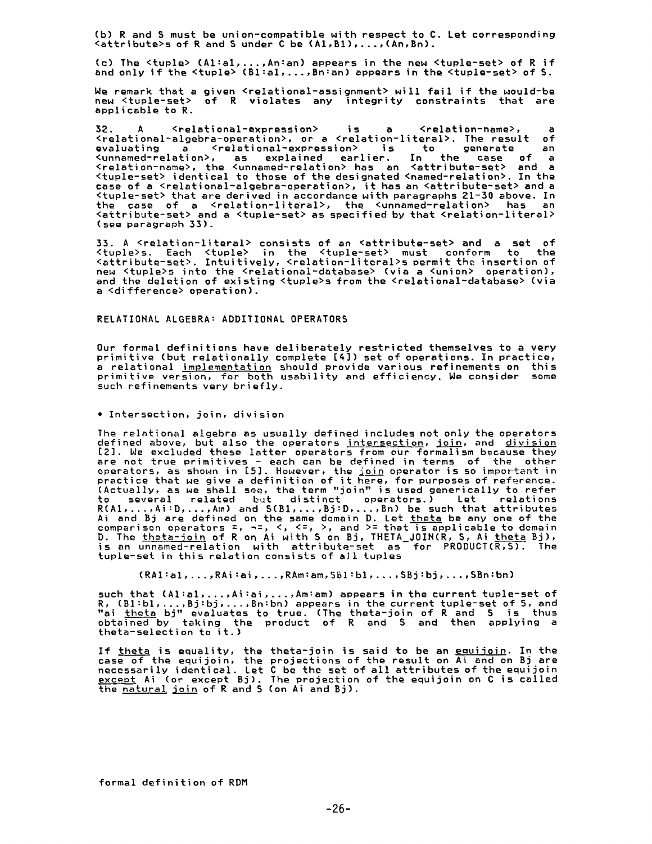(b) R and 5 must be union-compatible with respect to C. Let corresponding  $\zeta$  attribute > s of R and S under C be  $(A1, B1)$ , ...,  $(An, Bn)$ .

(c) The <tuple> (At:a1, .... An:an) appears in the new <tuple-set> of R if and only if the <tuple> (Bl:al,...,Bn:an) appears in the <tuple-set> of S.

We remark that a given <relational-assignment> will fail if the would-be new <tuple-set> of R violates any integrity constraints that are applicable to R.

32. A <relational-expression> is a <relation-name>, a <relational-algebra-operation>, or a <relation-literal>. The result of evaluating a <relational-expression> is to generate an <unnamed-relation>, as explained earlier, In the case of a <relation-name>, the <unnamed-relation> has an <attribute-set> and a <tuple-set> identical to those of the designated <named-relation>. In the case of a <relational-algebra-operation>, it has an <attribute-set> and a <tuple-set> that are derived in accordance with paragraphs 21-30 above. In the case of a <relation-literal>, the <unnamed-relation> has an <attribute-set> and a <tuple-set> as specified by that <relation-literal> (see paragraph 33).

33. A <relation-literal> consists of an <attribute-set> and a set of<br><tuple>s. Each <tuple> in the <tuple-set> must conform to the <attribute-set>. Intuitively, <relation-literal>s permit the insertion of new <tuple>s into the <relational-database> (via a <union> operation), and the deletion of existing <tuple>s from the <relational-database> (via a <difference> operation).

RELATIONAL ALGEBRA: ADDITIONAL OPERATORS

Our formal definitions have deliberately restricted themselves to a very primitive (but relationally complete [q]) set of operations. In practice, a relational <u>implementation</u> should provide various refinements on thi: primitive version, for both usability and efficiency. We consider some such refinements very briefly.

• Intersection, join, division

The relational algebra as usually defined includes not only the operators defined above, but also the operators <u>intersection</u>, <u>join</u>, and <u>divisio</u> [2]. We excluded these latter operators from our formalism because they are not true primitives - each can be defined in terms of the other operators, as shown in [5]. However, the <u>join</u> operator is so important in practice that we give a definition of it here, for purposes of reference. (Actually, as we shall see, the term "join" is used generically to refer to several related but distinct operators.) Let relatior R(A1,...,Ai:D,...,Am) and S(B1,...,Bj:D,...,Bn) be such that attribute Ai and Bj are defined on the same domain D. Let <u>theta</u> be any one of the comparison operators =, ~=, <, <=, >, and >= that is applicable to domain D. The <u>theta-join</u> of R on Ai with S on Bj, THETA\_JOIN(R, S, Ai <u>theta</u> Bj), is an unnamed-relation with attribute-set as for PRODUCT(R,5). The tuple-set in this relation consists of aJl tuples

(RA1:a1,...,RAi:ai,...,RAm:am,SB1:b1,...,SBj:bj,...,SBn:bn)

such that (Al:al, ..., Ai:ai, ..., Am:am) appears in the current tuple-set of R, (B1:bl,...,Bj:bj,...,Bn:bn) appears in the current tuple-set of S, and "ai <u>theta</u> bj" evaluates to true. (The theta-join of R and S is thus obtained by taking the product of R and S and then applying a theta-selection to it.)

If <u>theta</u> is equality, the theta-join is said to be an <u>equijoin</u>. In the case of the equijoin, the projections of the result on Ai and on Bj are necessarily identical. Let C be the set of all attributes of the equijoi <u>except</u> Ai (or except Bj). The projection of the equijoin on C is calle**d** the natural join of R and S (on Ai and Bj).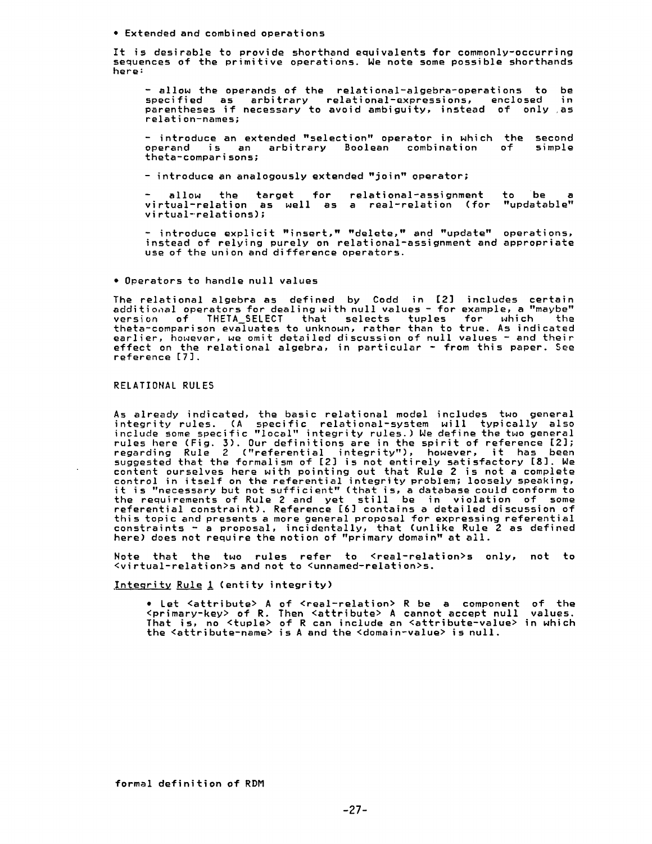• Extended and combined operations

It is desirable to provide shorthand equivalents for commonly-occurring sequences of the primitive operations. We note some possible shorthands here:

- allow the operands of the relational-algebra-operations to be specified as arbitrary relational-expressions, enclosed in parentheses if necessary to avoid ambiguity, instead of only ,as relation-names;

- introduce an extended "selection" operator in which the second operand is an arbitrary Boolean combination of fhefa-comparisons;

- introduce an analogously extended "join" operator;

**-** allow the target for relational-assignment to be a virtual-relation as well as a real-relation (for "updatable" virtual-relations);

**-** introduce explicit "insert," "delete," and "update" operations, instead of relying purely on relational-assignment and appropriate use of the union and difference operators.

• Operators to handle null values

The relational algebra as defined by Codd in [2] includes certai additional operators for dealing with null values - for example, a "maybe" version of THETA\_SELECT that selects tuples for which the thefa-comparison evaluates to unknown, rather than to true. As indicated earlier, however, we omit detailed discussion of null values - and their effect on the relational algebra, in particular - from this paper. See reference [7].

#### RELATIONAL RULES

As already indicated, the basic relational model includes two general integrity rules. (A specific relational-system will typically also include some specific "local" integrity rules.) Ne define the two general rules here (Fig. 3). Our definitions are in the spirit of reference [2]; regarding Rule 2 ("referential integrity"), however, it has been suggested that the formalism of [2] is not entirely satisfactory [8]. We content ourselves here with pointing out that Rule 2 is not a complete control in itself on the referential integrity problem; loosely speaking, it is "necessary but not sufficient" (that is, a database could conform to the requirements of Rule 2 and yet still be in violation of some referential constraint). Reference [6] contains a detailed discussion of this topic and presents a more general proposal for expressing referential constraints - a proposal, incidentally, that (unlike Rule 2 as defined here) does not require the notion of "primary domain" at all.

Note that the two rules refer to <real-relation>s only, not to <virfual-relation>s and not to <unnamed-relation>s.

.Integrity Rule 1 (entity integrity)

• Let <attribute> A of <real-relation> R be a component of the  $\langle primary\text{-}key\rangle$  of R. Then  $\langle$ attribute $\rangle$  A cannot accept null values. That is, no  $\tt {tuple>}$  of R can include an  $\tt {attribute-value>}$  in which the <attribute-name> is A and the <domain-value> is null.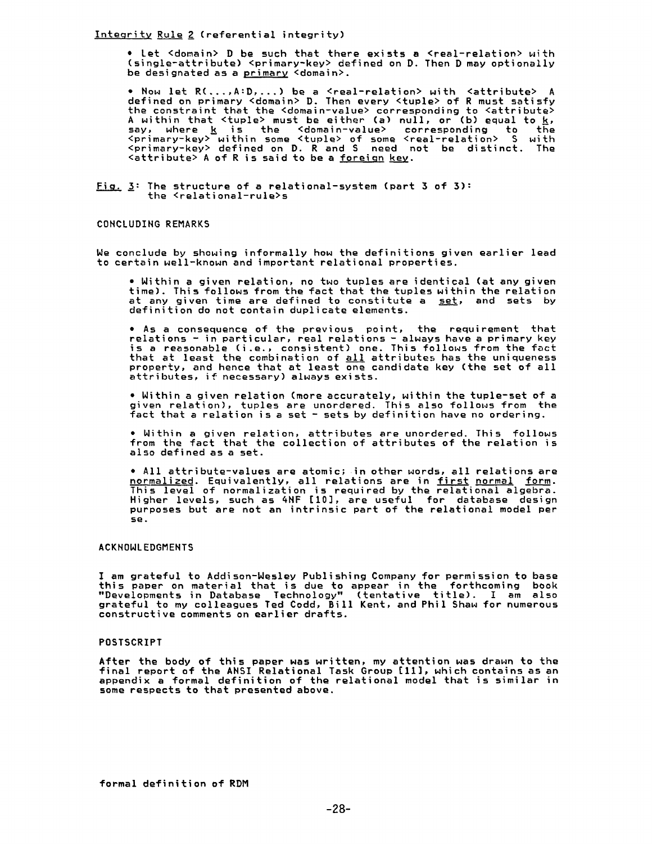Inteqrity Rule 2 (referential integrity)

• Let <domain> D be such that there exists a <real-relation> with (single-attribute) <primary-key> defined on D. Then D may optionall be designated as a <u>primary</u> <domain>.

• Now let R(...,A:D,...) be a <real-relation> with <attribute> A defined on primary <domain> D. Then every <tuple> of R must satisfy the constraint that the <domain-value> corresponding to <attribut $\epsilon$ A within that <tuple> must be either (a) null, or (b) equal to <u>k</u>,<br>say, where <u>k</u> is the <domain-value> corresponding to the <primary-key> within some <tuple> of some <real-relation> S with <primary-key> defined on D. R and S need not be distinct. The <attribute> A of R is said to be a foreign key.

Fig. 3: The structure of a relational-system (part 3 of 5): the <relational-rule>s

### CONCLUDING REMARKS

We conclude by showing informally how the definitions given earlier lead to certain well-known and important relational properties.

• Within a given relation, no two tuples are identical (at any given time). This follows from the fact that the tuples within the relation at any given time are defined to constitute a set, and sets by definition do not contain duplicate elements.

• As a consequence of the previous point, the requirement that relations - in particular, real relations - always have a primary key is a reasonable (i.e., consistent) one. This follows from the fact that at least the combination of <u>all</u> attributes has the uniqueness property, and hence that at least one candidate key (the set of all attributes, if necessary) always exists.

• Within a given relation (more accurately, within the tuple-set of a given relation), tuples are unordered. This also follows from the fact that a relation is a set - sets by definition have no ordering.

• Within a given relation, attributes are unordered. This follows from the fact that the collection of attributes of the relation is also defined as a set.

• All attribute-values are atomic; in other words, all relations are normalized. Equivalently, all relations are in first normal form. This level of normalization is required by the relational algebra. Higher levels, such as 4NF [I0], are useful for database design purposes but are not an intrinsic part of the relational model per 5e.

# ACKNOWLEDGMENTS

I am grateful to Addison-Wesley Publishing Company for permission to base this paper on material that is due to appear in the forthcoming book "Developments in Database Technology" (tentative title). I am also grateful to my colleagues Ted Codd, Bill Kent, and Phil Shaw for numerous constructive comments on earlier drafts.

### POSTSCRIPT

After the body of this paper was written, my attention was drawn to the final report of the ANSI Relational Task Group [11], which contains as an appendix a formal definition of the relational model that is similar in some respects to that presented above.